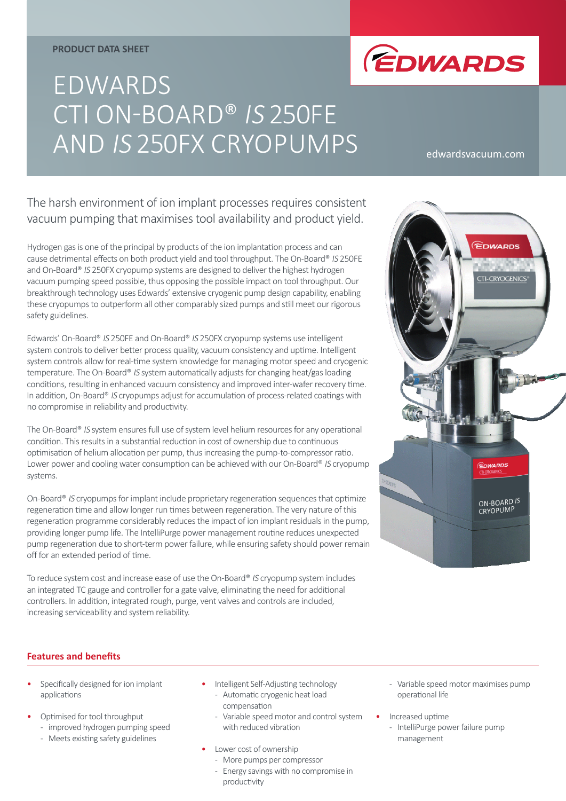#### **PRODUCT DATA SHEET**



# EDWARDS CTI ON-BOARD® IS 250FE AND IS 250FX CRYOPUMPS

edwardsvacuum.com

# The harsh environment of ion implant processes requires consistent vacuum pumping that maximises tool availability and product yield.

Hydrogen gas is one of the principal by products of the ion implantation process and can cause detrimental effects on both product yield and tool throughput. The On-Board® IS 250FE and On-Board® IS 250FX cryopump systems are designed to deliver the highest hydrogen vacuum pumping speed possible, thus opposing the possible impact on tool throughput. Our breakthrough technology uses Edwards' extensive cryogenic pump design capability, enabling these cryopumps to outperform all other comparably sized pumps and still meet our rigorous safety guidelines.

Edwards' On-Board® IS 250FE and On-Board® IS 250FX cryopump systems use intelligent system controls to deliver better process quality, vacuum consistency and uptime. Intelligent system controls allow for real-time system knowledge for managing motor speed and cryogenic temperature. The On-Board® IS system automatically adjusts for changing heat/gas loading conditions, resulting in enhanced vacuum consistency and improved inter-wafer recovery time. In addition, On-Board<sup>®</sup> IS cryopumps adjust for accumulation of process-related coatings with no compromise in reliability and productivity.

The On-Board® IS system ensures full use of system level helium resources for any operational condition. This results in a substantial reduction in cost of ownership due to continuous optimisation of helium allocation per pump, thus increasing the pump-to-compressor ratio. Lower power and cooling water consumption can be achieved with our On-Board® IS cryopump systems.

On-Board® IS cryopumps for implant include proprietary regeneration sequences that optimize regeneration time and allow longer run times between regeneration. The very nature of this regeneration programme considerably reduces the impact of ion implant residuals in the pump, providing longer pump life. The IntelliPurge power management routine reduces unexpected pump regeneration due to short-term power failure, while ensuring safety should power remain off for an extended period of time.

To reduce system cost and increase ease of use the On-Board® IS cryopump system includes an integrated TC gauge and controller for a gate valve, eliminating the need for additional controllers. In addition, integrated rough, purge, vent valves and controls are included, increasing serviceability and system reliability.



## **Features and benefits**

- Specifically designed for ion implant applications
- Optimised for tool throughput
	- improved hydrogen pumping speed
	- Meets existing safety guidelines
- Intelligent Self-Adjusting technology - Automatic cryogenic heat load compensation
	- Variable speed motor and control system with reduced vibration
- Lower cost of ownership
	- More pumps per compressor - Energy savings with no compromise in
		- productivity
- Variable speed motor maximises pump operational life
- Increased uptime
	- IntelliPurge power failure pump management